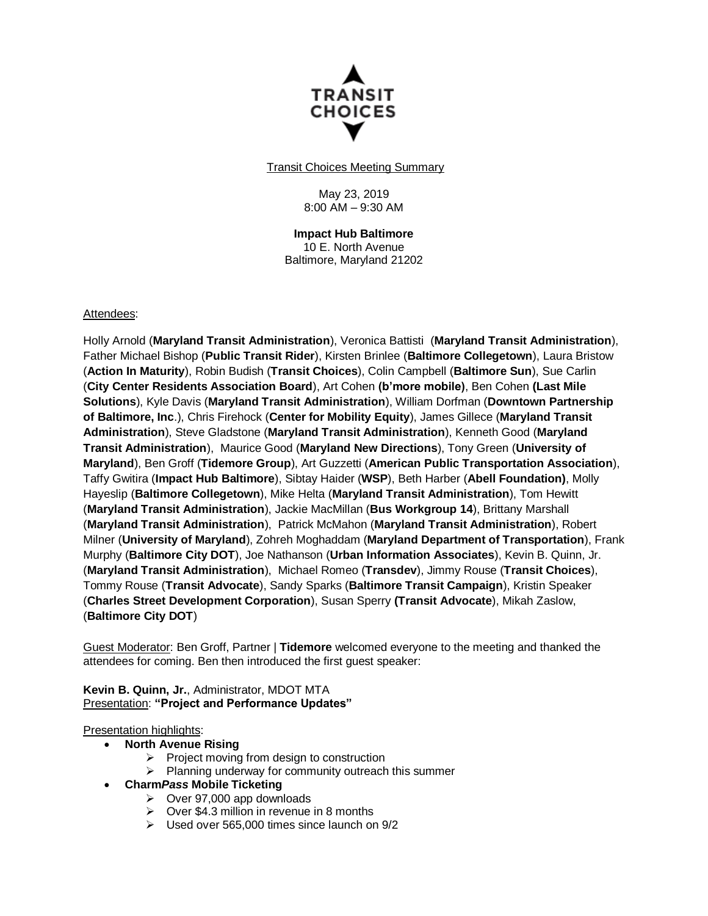

Transit Choices Meeting Summary

May 23, 2019 8:00 AM – 9:30 AM

**Impact Hub Baltimore** 10 E. North Avenue Baltimore, Maryland 21202

#### Attendees:

Holly Arnold (**Maryland Transit Administration**), Veronica Battisti (**Maryland Transit Administration**), Father Michael Bishop (**Public Transit Rider**), Kirsten Brinlee (**Baltimore Collegetown**), Laura Bristow (**Action In Maturity**), Robin Budish (**Transit Choices**), Colin Campbell (**Baltimore Sun**), Sue Carlin (**City Center Residents Association Board**), Art Cohen **(b'more mobile)**, Ben Cohen **(Last Mile Solutions**), Kyle Davis (**Maryland Transit Administration**), William Dorfman (**Downtown Partnership of Baltimore, Inc**.), Chris Firehock (**Center for Mobility Equity**), James Gillece (**Maryland Transit Administration**), Steve Gladstone (**Maryland Transit Administration**), Kenneth Good (**Maryland Transit Administration**), Maurice Good (**Maryland New Directions**), Tony Green (**University of Maryland**), Ben Groff (**Tidemore Group**), Art Guzzetti (**American Public Transportation Association**), Taffy Gwitira (**Impact Hub Baltimore**), Sibtay Haider (**WSP**), Beth Harber (**Abell Foundation)**, Molly Hayeslip (**Baltimore Collegetown**), Mike Helta (**Maryland Transit Administration**), Tom Hewitt (**Maryland Transit Administration**), Jackie MacMillan (**Bus Workgroup 14**), Brittany Marshall (**Maryland Transit Administration**), Patrick McMahon (**Maryland Transit Administration**), Robert Milner (**University of Maryland**), Zohreh Moghaddam (**Maryland Department of Transportation**), Frank Murphy (**Baltimore City DOT**), Joe Nathanson (**Urban Information Associates**), Kevin B. Quinn, Jr. (**Maryland Transit Administration**), Michael Romeo (**Transdev**), Jimmy Rouse (**Transit Choices**), Tommy Rouse (**Transit Advocate**), Sandy Sparks (**Baltimore Transit Campaign**), Kristin Speaker (**Charles Street Development Corporation**), Susan Sperry **(Transit Advocate**), Mikah Zaslow, (**Baltimore City DOT**)

Guest Moderator: Ben Groff, Partner | **Tidemore** welcomed everyone to the meeting and thanked the attendees for coming. Ben then introduced the first guest speaker:

**Kevin B. Quinn, Jr.**, Administrator, MDOT MTA Presentation: **"Project and Performance Updates"**

**Presentation highlights:** 

- **North Avenue Rising**
	- $\triangleright$  Project moving from design to construction
	- $\triangleright$  Planning underway for community outreach this summer
- **Charm***Pass* **Mobile Ticketing**
	- $\triangleright$  Over 97,000 app downloads
	- $\geq$  Over \$4.3 million in revenue in 8 months
	- $\triangleright$  Used over 565,000 times since launch on 9/2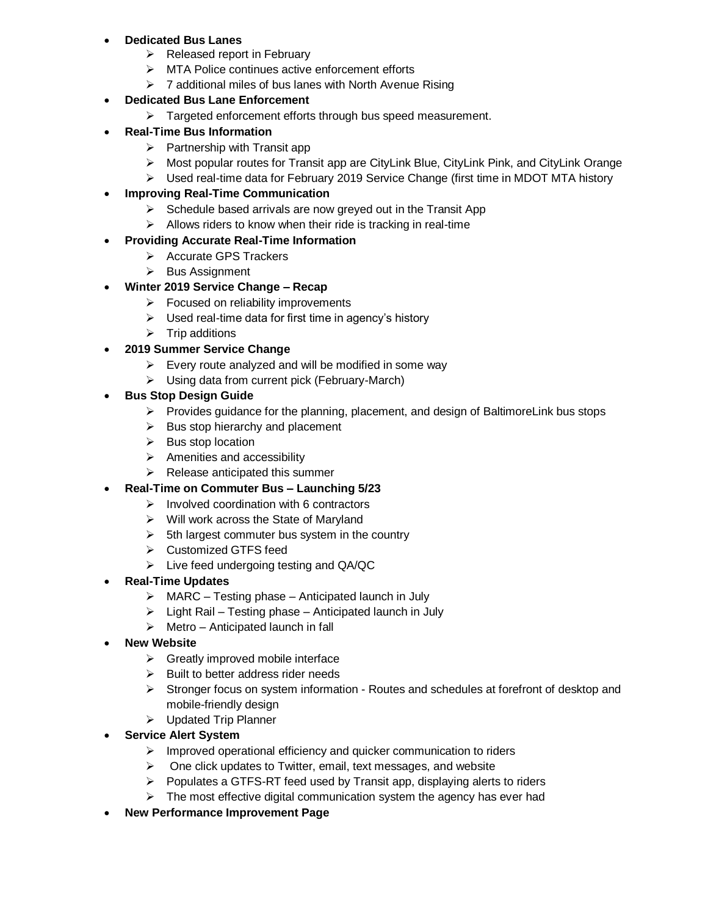### **Dedicated Bus Lanes**

- $\triangleright$  Released report in February
- > MTA Police continues active enforcement efforts
- $\triangleright$  7 additional miles of bus lanes with North Avenue Rising

### **Dedicated Bus Lane Enforcement**

- $\triangleright$  Targeted enforcement efforts through bus speed measurement.
- **Real-Time Bus Information**
	- $\triangleright$  Partnership with Transit app
	- $\triangleright$  Most popular routes for Transit app are CityLink Blue, CityLink Pink, and CityLink Orange
	- Used real-time data for February 2019 Service Change (first time in MDOT MTA history

## **Improving Real-Time Communication**

- $\triangleright$  Schedule based arrivals are now greyed out in the Transit App
- $\triangleright$  Allows riders to know when their ride is tracking in real-time

#### **Providing Accurate Real-Time Information**

- $\triangleright$  Accurate GPS Trackers
- $\triangleright$  Bus Assignment

### **Winter 2019 Service Change – Recap**

- $\triangleright$  Focused on reliability improvements
- $\triangleright$  Used real-time data for first time in agency's history
- $\triangleright$  Trip additions

### **2019 Summer Service Change**

- $\triangleright$  Every route analyzed and will be modified in some way
- Using data from current pick (February-March)

### **Bus Stop Design Guide**

- $\triangleright$  Provides guidance for the planning, placement, and design of BaltimoreLink bus stops
- $\triangleright$  Bus stop hierarchy and placement
- $\triangleright$  Bus stop location
- $\triangleright$  Amenities and accessibility
- $\triangleright$  Release anticipated this summer
- **Real-Time on Commuter Bus – Launching 5/23**
	- $\triangleright$  Involved coordination with 6 contractors
	- $\triangleright$  Will work across the State of Maryland
	- $\triangleright$  5th largest commuter bus system in the country
	- **▶ Customized GTFS feed**
	- Live feed undergoing testing and QA/QC
- **Real-Time Updates**
	- $\triangleright$  MARC Testing phase Anticipated launch in July
	- $\triangleright$  Light Rail Testing phase Anticipated launch in July
	- $\triangleright$  Metro Anticipated launch in fall
- **New Website**
	- $\triangleright$  Greatly improved mobile interface
	- $\triangleright$  Built to better address rider needs
	- $\triangleright$  Stronger focus on system information Routes and schedules at forefront of desktop and mobile-friendly design
	- Updated Trip Planner
- **Service Alert System**
	- $\triangleright$  Improved operational efficiency and quicker communication to riders
	- $\triangleright$  One click updates to Twitter, email, text messages, and website
	- $\triangleright$  Populates a GTFS-RT feed used by Transit app, displaying alerts to riders
	- $\triangleright$  The most effective digital communication system the agency has ever had
- **New Performance Improvement Page**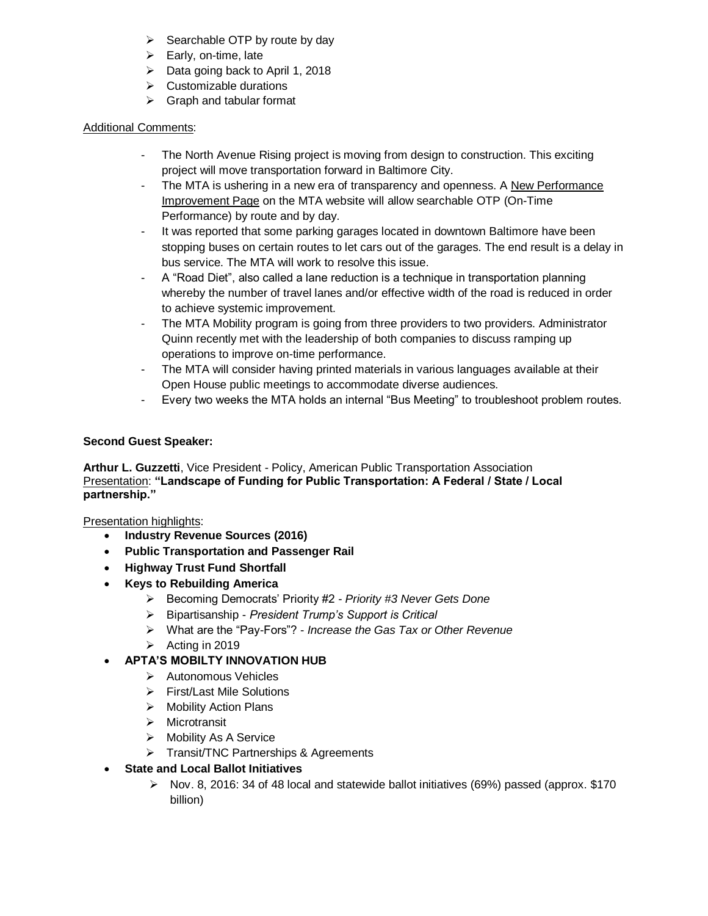- $\triangleright$  Searchable OTP by route by day
- $\triangleright$  Early, on-time, late
- $\triangleright$  Data going back to April 1, 2018
- $\triangleright$  Customizable durations
- $\triangleright$  Graph and tabular format

# Additional Comments:

- The North Avenue Rising project is moving from design to construction. This exciting project will move transportation forward in Baltimore City.
- The MTA is ushering in a new era of transparency and openness. A New Performance Improvement Page on the MTA website will allow searchable OTP (On-Time Performance) by route and by day.
- It was reported that some parking garages located in downtown Baltimore have been stopping buses on certain routes to let cars out of the garages. The end result is a delay in bus service. The MTA will work to resolve this issue.
- A "Road Diet", also called a lane reduction is a technique in transportation planning whereby the number of travel lanes and/or effective width of the road is reduced in order to achieve systemic improvement.
- The MTA Mobility program is going from three providers to two providers. Administrator Quinn recently met with the leadership of both companies to discuss ramping up operations to improve on-time performance.
- The MTA will consider having printed materials in various languages available at their Open House public meetings to accommodate diverse audiences.
- Every two weeks the MTA holds an internal "Bus Meeting" to troubleshoot problem routes.

## **Second Guest Speaker:**

**Arthur L. Guzzetti**, Vice President - Policy, American Public Transportation Association Presentation: **"Landscape of Funding for Public Transportation: A Federal / State / Local partnership."**

Presentation highlights:

- **Industry Revenue Sources (2016)**
- **Public Transportation and Passenger Rail**
- **Highway Trust Fund Shortfall**
- **Keys to Rebuilding America**
	- Becoming Democrats' Priority #2 *Priority #3 Never Gets Done*
	- Bipartisanship *President Trump's Support is Critical*
	- What are the "Pay-Fors"? *Increase the Gas Tax or Other Revenue*
	- $\triangleright$  Acting in 2019

# **APTA'S MOBILTY INNOVATION HUB**

- Autonomous Vehicles
- First/Last Mile Solutions
- $\triangleright$  Mobility Action Plans
- $\triangleright$  Microtransit
- > Mobility As A Service
- > Transit/TNC Partnerships & Agreements
- **State and Local Ballot Initiatives**
	- Nov. 8, 2016: 34 of 48 local and statewide ballot initiatives (69%) passed (approx.  $$170$ billion)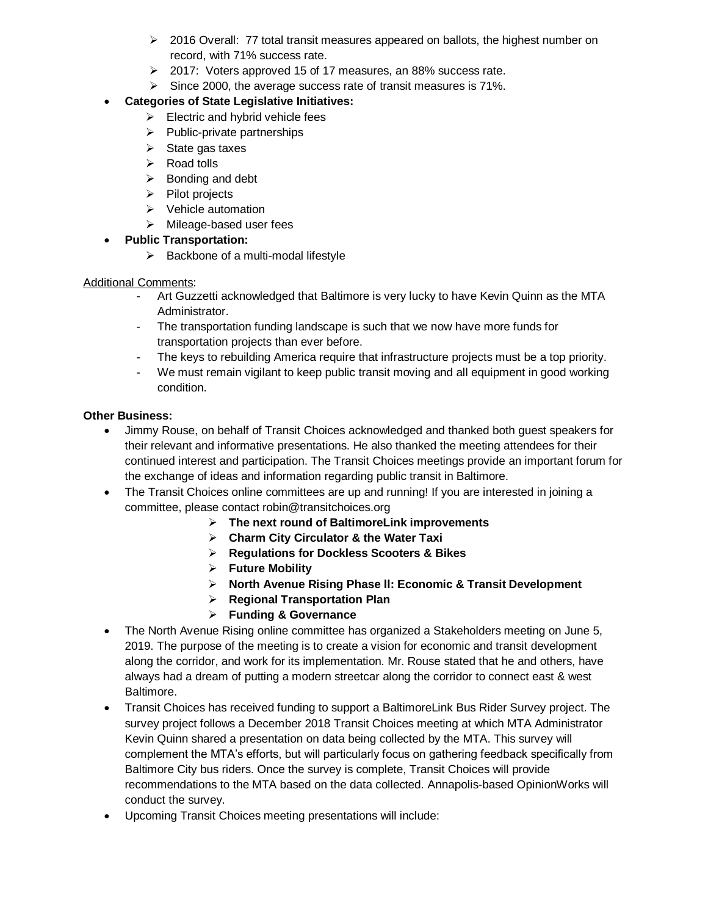- $\geq$  2016 Overall: 77 total transit measures appeared on ballots, the highest number on record, with 71% success rate.
- 2017: Voters approved 15 of 17 measures, an 88% success rate.
- $\triangleright$  Since 2000, the average success rate of transit measures is 71%.

# **Categories of State Legislative Initiatives:**

- $\triangleright$  Electric and hybrid vehicle fees
- $\triangleright$  Public-private partnerships
- $\triangleright$  State gas taxes
- $\triangleright$  Road tolls
- $\triangleright$  Bonding and debt
- $\triangleright$  Pilot projects
- $\triangleright$  Vehicle automation
- $\triangleright$  Mileage-based user fees
- **Public Transportation:** 
	- $\triangleright$  Backbone of a multi-modal lifestyle

## Additional Comments:

- Art Guzzetti acknowledged that Baltimore is very lucky to have Kevin Quinn as the MTA Administrator.
- The transportation funding landscape is such that we now have more funds for transportation projects than ever before.
- The keys to rebuilding America require that infrastructure projects must be a top priority.
- We must remain vigilant to keep public transit moving and all equipment in good working condition.

## **Other Business:**

- Jimmy Rouse, on behalf of Transit Choices acknowledged and thanked both guest speakers for their relevant and informative presentations. He also thanked the meeting attendees for their continued interest and participation. The Transit Choices meetings provide an important forum for the exchange of ideas and information regarding public transit in Baltimore.
- The Transit Choices online committees are up and running! If you are interested in joining a committee, please contact robin@transitchoices.org
	- **The next round of BaltimoreLink improvements**
	- **Charm City Circulator & the Water Taxi**
	- **Regulations for Dockless Scooters & Bikes**
	- **Future Mobility**
	- **North Avenue Rising Phase ll: Economic & Transit Development**
	- **Regional Transportation Plan**
	- **Funding & Governance**
- The North Avenue Rising online committee has organized a Stakeholders meeting on June 5, 2019. The purpose of the meeting is to create a vision for economic and transit development along the corridor, and work for its implementation. Mr. Rouse stated that he and others, have always had a dream of putting a modern streetcar along the corridor to connect east & west Baltimore.
- Transit Choices has received funding to support a BaltimoreLink Bus Rider Survey project. The survey project follows a December 2018 Transit Choices meeting at which MTA Administrator Kevin Quinn shared a presentation on data being collected by the MTA. This survey will complement the MTA's efforts, but will particularly focus on gathering feedback specifically from Baltimore City bus riders. Once the survey is complete, Transit Choices will provide recommendations to the MTA based on the data collected. Annapolis-based OpinionWorks will conduct the survey.
- Upcoming Transit Choices meeting presentations will include: